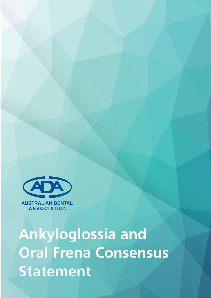

Ankyloglossia and Oral Frena Consensus **Statement**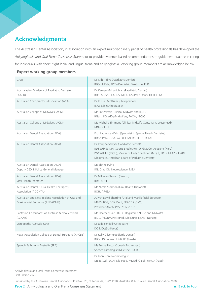# **Acknowledgments**

The Australian Dental Association, in association with an expert multidisciplinary panel of health professionals has developed the *Ankyloglossia and Oral Frena Consensus Statement* to provide evidence-based recommendations to guide best practice in caring for individuals with short, tight labial and lingual frena and ankyloglossia. Working group members are acknowledged below.

## **Expert working group members**

| Chair                                                                                  | Dr Mihiri Silva (Paediatric Dentist)<br>BDSc, MDSc, DCD (Paediatric Dentistry), PhD                                                                                                                                                 |
|----------------------------------------------------------------------------------------|-------------------------------------------------------------------------------------------------------------------------------------------------------------------------------------------------------------------------------------|
| Australasian Academy of Paediatric Dentistry<br>(AAPD)                                 | Dr Kareen Mekertichian (Paediatric Dentist)<br>BDS, MDSc, FRACDS, MRACDS (Paed Dent), FICD, FPFA                                                                                                                                    |
| Australian Chiropractors Association (ACA)                                             | Dr Russell Mottram (Chiropractor)<br>B.App.Sc (Chiropractic)                                                                                                                                                                        |
| Australian College of Midwives (ACM)                                                   | Ms Lois Wattis (Clinical Midwife and IBCLC)<br>BNurs, PGradDipMidwifery, FACM, IBCLC                                                                                                                                                |
| Australian College of Midwives (ACM)                                                   | Ms Michelle Simmons (Clinical Midwife Consultant, Westmead)<br>MNurs, IBCLC                                                                                                                                                         |
| Australian Dental Association (ADA)                                                    | Prof Laurence Walsh (Specialist in Special Needs Dentistry)<br>BDSc, PhD, DDSc, GCEd, FRACDS, FFOP (RCPA)                                                                                                                           |
| Australian Dental Association (ADA)                                                    | Dr Philippa Sawyer (Paediatric Dentist)<br>BDS (USyd), MA (Sports Studies) (UTS), GradCertPedDent (NYU)<br>PGCertHEd (MQU), Master of Early Childhood (MQU), FICD, FAAPD, FIADT<br>Diplomate, American Board of Pediatric Dentistry |
| Australian Dental Association (ADA)<br>Deputy CEO & Policy General Manager             | Ms Eithne Irving<br>RN, Grad Dip Neuroscience, MBA                                                                                                                                                                                  |
| Australian Dental Association (ADA)<br>Oral Health Promoter                            | Dr Mikaela Chinotti (Dentist)<br>BDS, MPH                                                                                                                                                                                           |
| Australian Dental & Oral Health Therapists'<br>Association (ADOHTA)                    | Ms Nicole Stormon (Oral Health Therapist)<br><b>BOH, AFHEA</b>                                                                                                                                                                      |
| Australian and New Zealand Association of Oral and<br>Maxillofacial Surgeons (ANZAOMS) | A/Prof David Sherring (Oral and Maxillofacial Surgeon)<br>MBBS, BDS, DClinDent, FRACDS (OMS)<br>President ANZAOMS (2017-2019)                                                                                                       |
| Lactation Consultants of Australia & New Zealand<br>(LCANZ)                            | Ms Heather Gale (IBCLC, Registered Nurse and Midwife)<br>IBCLC/RN/RM/Post grad. Dip Nurse Ed./M. Nursing                                                                                                                            |
| Osteopathy Australia (OA)                                                              | Dr Julie Fendall (Osteopath)<br>DO MOstSc (Paeds)                                                                                                                                                                                   |
| Royal Australasian College of Dental Surgeons (RACDS)                                  | Dr Kelly Oliver (Paediatric Dentist)<br>BDSc, DClinDent, FRACDS (Paeds)                                                                                                                                                             |
| Speech Pathology Australia (SPA)                                                       | Ms Emma Necus (Speech Pathologist)<br>Speech Pathologist (MSc/Bsc), IBCLC                                                                                                                                                           |
|                                                                                        | Dr John Sinn (Neonatologist)<br>MBBS(Syd), DCH, Dip Paed, MMed (C Epi), FRACP (Paed)                                                                                                                                                |

Ankyloglossia and Oral Frena Consensus Statement First Edition 2020

Published by the Australian Dental Association, PO Box 520, St Leonards, NSW 1590, Australia © Australian Dental Association 2020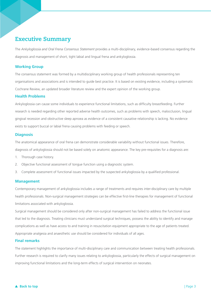# **Executive Summary**

The *Ankyloglossia and Oral Frena Consensus Statement* provides a multi-disciplinary, evidence-based consensus regarding the diagnosis and management of short, tight labial and lingual frena and ankyloglossia.

## **Working Group**

The consensus statement was formed by a multidisciplinary working group of health professionals representing ten organisations and associations and is intended to guide best practice. It is based on existing evidence, including a systematic Cochrane Review, an updated broader literature review and the expert opinion of the working group.

### **Health Problems**

Ankyloglossia can cause some individuals to experience functional limitations, such as difficulty breastfeeding. Further research is needed regarding other reported adverse health outcomes, such as problems with speech, malocclusion, lingual gingival recession and obstructive sleep apnoea as evidence of a consistent causative relationship is lacking. No evidence exists to support buccal or labial frena causing problems with feeding or speech.

## **Diagnosis**

The anatomical appearance of oral frena can demonstrate considerable variability without functional issues. Therefore, diagnosis of ankyloglossia should not be based solely on anatomic appearance. The key pre-requisites for a diagnosis are:

- 1. Thorough case history.
- 2. Objective functional assessment of tongue function using a diagnostic system.
- 3. Complete assessment of functional issues impacted by the suspected ankyloglossia by a qualified professional.

### **Management**

Contemporary management of ankyloglossia includes a range of treatments and requires inter-disciplinary care by multiple health professionals. Non-surgical management strategies can be effective first-line therapies for management of functional limitations associated with ankyloglossia.

Surgical management should be considered only after non-surgical management has failed to address the functional issue that led to the diagnosis. Treating clinicians must understand surgical techniques, possess the ability to identify and manage complications as well as have access to and training in resuscitation equipment appropriate to the age of patients treated. Appropriate analgesia and anaesthetic use should be considered for individuals of all ages.

### **Final remarks**

The statement highlights the importance of multi-disciplinary care and communication between treating health professionals. Further research is required to clarify many issues relating to ankyloglossia, particularly the effects of surgical management on improving functional limitations and the long-term effects of surgical intervention on neonates.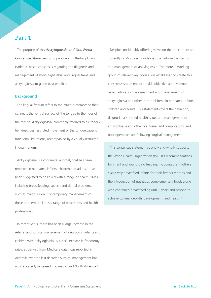## **Part 1**

The purpose of this *Ankyloglossia and Oral Frena Consensus Statement* is to provide a multi-disciplinary, evidence-based consensus regarding the diagnosis and management of short, tight labial and lingual frena and ankyloglossia to guide best practice.

#### **Background**

 The lingual frenum refers to the mucous membrane that connects the ventral surface of the tongue to the floor of the mouth. Ankyloglossia, commonly referred to as 'tonguetie,' describes restricted movement of the tongue causing functional limitations, accompanied by a visually restricted lingual frenum.

Ankyloglossia is a congenital anomaly that has been reported in neonates, infants, children and adults. It has been suggested to be linked with a range of health issues, including breastfeeding, speech and dental problems, such as malocclusion. Contemporary management of these problems includes a range of treatments and health professionals.

In recent years, there has been a large increase in the referral and surgical management of newborns, infants and children with ankyloglossia. A 420% increase in frenotomy rates, as derived from Medicare data, was reported in Australia over the last decade.<sup>1</sup> Surgical management has also reportedly increased in Canada<sup>2</sup> and North America.<sup>3</sup>

Despite considerably differing views on the topic, there are currently no Australian guidelines that inform the diagnosis and management of ankyloglossia. Therefore, a working group of relevant key bodies was established to create this consensus statement to provide objective and evidencebased advice for the assessment and management of ankyloglossia and other intra-oral frena in neonates, infants, children and adults. This statement covers the definition, diagnosis, associated health issues and management of ankyloglossia and other oral frena, and complications and post-operative care following surgical management.

This consensus statement strongly and wholly supports the World Health Organization (WHO)'s recommendations for infant and young child feeding, including that mothers exclusively breastfeed infants for their first six months and the introduction of nutritious complementary foods along with continued breastfeeding until 2 years and beyond to achieve optimal growth, development, and health.<sup>4</sup>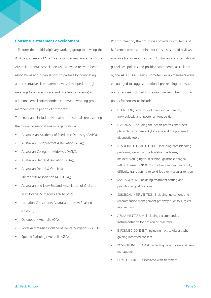### **Consensus statement development**

 To form the multidisciplinary working group to develop the *Ankyloglossia and Oral Frena Consensus Statement*, the Australian Dental Association (ADA) invited relevant health associations and organisations to partake by nominating a representative. The statement was developed through meetings (one face-to-face and one teleconference) and additional email correspondence between working group members over a period of six months..

The final panel included 14 health professionals representing the following associations or organisations:

- Australasian Academy of Paediatric Dentistry (AAPD);
- Australian Chiropractors Association (ACA);
- Australian College of Midwives (ACM);
- Australian Dental Association (ADA);
- Australian Dental & Oral Health Therapists' Association (ADOHTA);
- Australian and New Zealand Association of Oral and Maxillofacial Surgeons (ANZAOMS);
- Lactation Consultants Australia and New Zealand (LCANZ);
- Osteopathy Australia (OA);
- Royal Australasian College of Dental Surgeons (RACDS);
- Speech Pathology Australia (SPA).

Prior to meeting, the group was provided with Terms of Reference, proposed points for consensus, rapid reviews of available literature and current Australian and international guidelines, policies and position statements, as collated by the ADA's Oral Health Promoter. Group members were encouraged to suggest additional pre-reading that was not otherwise included in the rapid review. The proposed points for consensus included:

- DEFINITION, of terms including lingual frenum, ankyloglossia and 'posterior' tongue-tie
- DIAGNOSIS, including the health professionals best placed to recognise ankyloglossia and the preferred diagnostic tools
- ASSOCIATED HEALTH ISSUES, including breastfeeding problems, speech and articulation problems, malocclusion, gingival recession, gastroesophageal reflux disease (GORD), obstructive sleep apnoea (OSA), difficulty transitioning to solid food or muscular tension
- MANAGEMENT, including treatment setting and practitioner qualifications
- SURGICAL INTERVENTION, including indications and recommended management pathway prior to surgical intervention
- ARMAMENTARIUM, including recommended instrumentation for division of oral frena
- INFORMED CONSENT, including risks to discuss when gaining informed consent
- POST-OPERATIVE CARE, including wound care and pain management
- COMPLICATIONS associated with treatment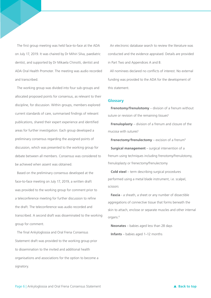The first group meeting was held face-to-face at the ADA on July 17, 2019. It was chaired by Dr Mihiri Silva, paediatric dentist, and supported by Dr Mikaela Chinotti, dentist and ADA Oral Health Promoter. The meeting was audio recorded and transcribed.

The working group was divided into four sub-groups and allocated proposed points for consensus, as relevant to their discipline, for discussion. Within groups, members explored current standards of care, summarised findings of relevant publications, shared their expert experience and identified areas for further investigation. Each group developed a preliminary consensus regarding the assigned points of discussion, which was presented to the working group for debate between all members. Consensus was considered to be achieved when assent was obtained.

Based on the preliminary consensus developed at the face-to-face meeting on July 17, 2019, a written draft was provided to the working group for comment prior to a teleconference meeting for further discussion to refine the draft. The teleconference was audio recorded and transcribed. A second draft was disseminated to the working group for comment.

The final Ankyloglossia and Oral Frena Consensus Statement draft was provided to the working group prior to dissemination to the invited and additional health organisations and associations for the option to become a signatory.

An electronic database search to review the literature was conducted and the evidence appraised. Details are provided in Part Two and Appendices A and B.

All nominees declared no conflicts of interest. No external funding was provided to the ADA for the development of this statement.

### **Glossary**

**Frenotomy/frenulotomy** – division of a frenum without suture or revision of the remaining tissues<sup>5</sup>

 **Frenuloplasty** – division of a frenum and closure of the mucosa with sutures<sup>5</sup>

**Frenectomy/frenulectomy** – excision of a frenum<sup>5</sup> **Surgical management** – surgical intervention of a frenum using techniques including frenotomy/frenulotomy, frenuloplasty or frenectomy/frenulectomy

 **Cold steel** – term describing surgical procedures performed using a metal blade instrument, i.e. scalpel, scissors

 **Fascia** - a sheath, a sheet or any number of dissectible aggregations of connective tissue that forms beneath the skin to attach, enclose or separate muscles and other internal organs.<sup>6</sup>

 **Neonates** – babies aged less than 28 days **Infants** – babies aged 1–12 months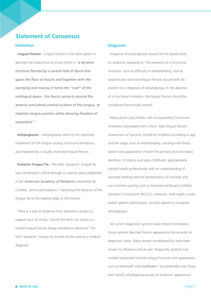## **Statement of Consensus**

### **Definition**

 **Lingual Frenum** - Lingual frenum is the name given to describe the anatomical structure which is "*a dynamic structure formed by a central fold of fascia that spans the floor of mouth and together with the overlying oral mucosa it forms the "roof" of the sublingual space…the fascia connects around the anterior and lateral ventral surfaces of the tongue, to stabilize tongue position while allowing freedom of movement.7*"

**Ankyloglossia** - Ankyloglossia refers to the restricted movement of the tongue causing functional limitations, accompanied by a visually restricted lingual frenum.

**Posterior Tongue Tie** - The term 'posterior' tongue tie was introduced in 2004 through an opinion piece published in the *American Academy of Pediatrics* newsletter by Coryllos, Genna and Salloum,<sup>8</sup> classifying the distance of the tongue tip to the leading edge of the frenum.

There is a lack of evidence from dissection studies to support such an entity.<sup>7</sup> Use of this term can result in a normal lingual frenum being classified as abnormal. The term 'posterior' tongue tie should not be used as a medical diagnosis.

#### **Diagnosis**

Diagnosis of ankyloglossia should not be based solely on anatomic appearance. The presence of a functional limitation, such as difficulty in breastfeeding, and an anatomically restricted lingual frenum should both be present for a diagnosis of ankyloglossia. In the absence of a functional limitation, the lingual frenum should be considered functionally normal.

Many adults and children will not experience functional limitations associated with a short, tight lingual frenum. Assessment of function should be modified according to age and life-stage, such as breastfeeding, starting solid foods, speech and appearance of both the primary and secondary dentition. In infancy and early childhood, appropriatelytrained health professionals with an understanding of neonatal feeding and the biomechanics of nutritive and non-nutritive sucking such as International Board Certified Lactation Consultants (IBCLCs), midwives, child health nurses and/or speech pathologists, are best placed to recognise ankyloglossia.

All current diagnostic systems have inherent limitations. Some systems describe frenum appearance but provide no diagnostic value. Many remain unvalidated but have been shown to influence clinical care. Diagnostic systems that include assessment of both tongue function and appearance, such as Martinelli<sup>9</sup> and Hazelbaker<sup>10</sup> are preferable over those that classify ankyloglossia purely on anatomic appearance.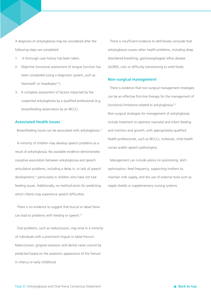A diagnosis of ankyloglossia may be considered after the following steps are completed:

- 1. A thorough case history has been taken.
- 2. Objective functional assessment of tongue function has been completed (using a diagnostic system, such as Martinelli<sup>9</sup> or Hazelbaker<sup>10</sup>).
- 3. A complete assessment of factors impacted by the suspected ankyloglossia by a qualified professional (e.g. breastfeeding observation by an IBCLC).

#### **Associated Health Issues**

Breastfeeding issues can be associated with ankyloglossia.<sup>11</sup>

A minority of children may develop speech problems as a result of ankyloglossia. No available evidence demonstrates causative association between ankyloglossia and speech articulation problems, including a delay in, or lack of speech development,12 particularly in children who have not had feeding issues. Additionally, no method exists for predicting which infants may experience speech difficulties.

There is no evidence to suggest that buccal or labial frena can lead to problems with feeding or speech.<sup>13</sup>

Oral problems, such as malocclusion, may arise in a minority of individuals with a prominent lingual or labial frenum. Malocclusion, gingival recession and dental caries cannot be predicted based on the anatomic appearance of the frenum in infancy or early childhood.

There is insufficient evidence to definitively conclude that ankyloglossia causes other health problems, including sleep disordered breathing, gastroesophageal reflux disease (GORD), colic or difficulty transitioning to solid foods.

### **Non-surgical management**

 There is evidence that non-surgical management strategies can be an effective first-line therapy for the management of functional limitations related to ankyloglossia.14 Non-surgical strategies for management of ankyloglossia include treatment to optimise neonatal and infant feeding and nutrition and growth, with appropriately-qualified health professionals, such as IBCLCs, midwives, child health nurses and/or speech pathologists.

Management can include advice on positioning, latch optimisation, feed frequency, supporting mothers to maintain milk supply, and the use of external tools such as nipple shields or supplementary nursing systems.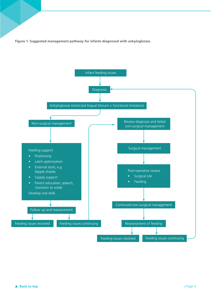**Figure 1. Suggested management pathway for infants diagnosed with ankyloglossia.**

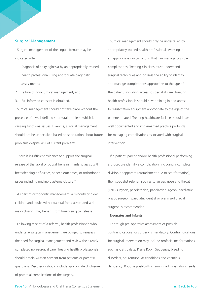### **Surgical Management**

Surgical management of the lingual frenum may be indicated after:

- 1. Diagnosis of ankyloglossia by an appropriately-trained health professional using appropriate diagnostic assessments;
- 2. Failure of non-surgical management; and
- 3. Full informed consent is obtained.

Surgical management should not take place without the presence of a well-defined structural problem, which is causing functional issues. Likewise, surgical management should not be undertaken based on speculation about future problems despite lack of current problems.

There is insufficient evidence to support the surgical release of the labial or buccal frena in infants to assist with breastfeeding difficulties, speech outcomes, or orthodontic issues including midline diastema closure.15

As part of orthodontic management, a minority of older children and adults with intra-oral frena associated with malocclusion, may benefit from timely surgical release.

Following receipt of a referral, health professionals who undertake surgical management are obliged to reassess the need for surgical management and review the already completed non-surgical care. Treating health professionals should obtain written consent from patients or parents/ guardians. Discussion should include appropriate disclosure of potential complications of the surgery.

Surgical management should only be undertaken by appropriately trained health professionals working in an appropriate clinical setting that can manage possible complications. Treating clinicians must understand surgical techniques and possess the ability to identify and manage complications appropriate to the age of the patient, including access to specialist care. Treating health professionals should have training in and access to resuscitation equipment appropriate to the age of the patients treated. Treating healthcare facilities should have well documented and implemented practice protocols for managing complications associated with surgical intervention.

If a patient, parent and/or health professional performing a procedure identify a complication (including incomplete division or apparent reattachment due to scar formation), then specialist referral, such as to an ear, nose and throat (ENT) surgeon, paediatrician, paediatric surgeon, paediatric plastic surgeon, paediatric dentist or oral maxillofacial surgeon is recommended.

#### **Neonates and Infants**

Thorough pre-operative assessment of possible contraindications for surgery is mandatory. Contraindications for surgical intervention may include orofacial malformations such as cleft palate, Pierre Robin Sequence, bleeding disorders, neuromuscular conditions and vitamin k deficiency. Routine post-birth vitamin k administration needs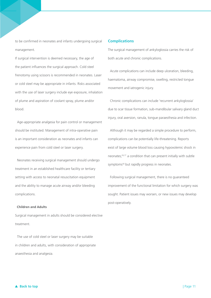to be confirmed in neonates and infants undergoing surgical management.

If surgical intervention is deemed necessary, the age of the patient influences the surgical approach. Cold steel frenotomy using scissors is recommended in neonates. Laser or cold steel may be appropriate in infants. Risks associated with the use of laser surgery include eye exposure, inhalation of plume and aspiration of coolant spray, plume and/or blood.

Age-appropriate analgesia for pain control or management should be instituted. Management of intra-operative pain is an important consideration as neonates and infants can experience pain from cold steel or laser surgery.

Neonates receiving surgical management should undergo treatment in an established healthcare facility or tertiary setting with access to neonatal resuscitation equipment and the ability to manage acute airway and/or bleeding complications.

### **Children and Adults**

Surgical management in adults should be considered elective treatment.

The use of cold steel or laser surgery may be suitable in children and adults, with consideration of appropriate anaesthesia and analgesia.

#### **Complications**

The surgical management of ankyloglossia carries the risk of both acute and chronic complications.

Acute complications can include deep ulceration, bleeding, haematoma, airway compromise, swelling, restricted tongue movement and iatrogenic injury.

Chronic complications can include 'recurrent ankyloglossia' due to scar tissue formation, sub-mandibular salivary gland duct injury, oral aversion, ranula, tongue paraesthesia and infection.

Although it may be regarded a simple procedure to perform, complications can be potentially life-threatening. Reports exist of large volume blood loss causing hypovolemic shock in neonates;16,17 a condition that can present initially with subtle symptoms<sup>18</sup> but rapidly progress in neonates.

Following surgical management, there is no guaranteed improvement of the functional limitation for which surgery was sought. Patient issues may worsen, or new issues may develop post-operatively.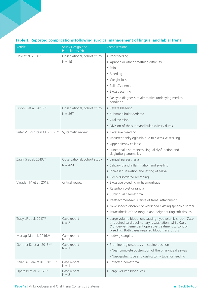| Article                                   | <b>Study Design and</b><br>Participants (N) | Complications                                                                                                                                                                                                                 |
|-------------------------------------------|---------------------------------------------|-------------------------------------------------------------------------------------------------------------------------------------------------------------------------------------------------------------------------------|
| Hale et al. 2020. <sup>17</sup>           | Observational, cohort study                 | • Poor feeding                                                                                                                                                                                                                |
|                                           | $N = 16$                                    | • Apnoea or other breathing difficulty                                                                                                                                                                                        |
|                                           |                                             | • Pain                                                                                                                                                                                                                        |
|                                           |                                             | • Bleeding                                                                                                                                                                                                                    |
|                                           |                                             | • Weight loss                                                                                                                                                                                                                 |
|                                           |                                             | · Pallor/Anaemia                                                                                                                                                                                                              |
|                                           |                                             | • Excess scarring                                                                                                                                                                                                             |
|                                           |                                             | • Delayed diagnosis of alternative underlying medical<br>condition                                                                                                                                                            |
| Dixon B et al. 2018. <sup>19</sup>        | Observational, cohort study                 | • Severe bleeding                                                                                                                                                                                                             |
|                                           | $N = 367$                                   | · Submandibular oedema                                                                                                                                                                                                        |
|                                           |                                             | • Oral aversion                                                                                                                                                                                                               |
|                                           |                                             | • Division of the submandibular salivary ducts                                                                                                                                                                                |
| Suter V, Bornstein M. 2009. <sup>20</sup> | Systematic review                           | • Excessive bleeding                                                                                                                                                                                                          |
|                                           |                                             | • Recurrent ankyloglossia due to excessive scarring                                                                                                                                                                           |
|                                           |                                             | • Upper airway collapse                                                                                                                                                                                                       |
|                                           |                                             | • Functional disturbances; lingual dysfunction and<br>deglutitory anomalies                                                                                                                                                   |
| Zaghi S et al. 2019. <sup>21</sup>        | Observational, cohort study                 | · Lingual paraesthesia                                                                                                                                                                                                        |
|                                           | $N = 420$                                   | • Salivary gland inflammation and swelling                                                                                                                                                                                    |
|                                           |                                             | • Increased salivation and jetting of saliva                                                                                                                                                                                  |
|                                           |                                             | • Sleep-disordered breathing                                                                                                                                                                                                  |
| Varadan M et al. 2019. <sup>22</sup>      | Critical review                             | • Excessive bleeding or haemorrhage                                                                                                                                                                                           |
|                                           |                                             | • Retention cyst or ranula                                                                                                                                                                                                    |
|                                           |                                             | · Sublingual haematoma                                                                                                                                                                                                        |
|                                           |                                             | • Reattachment/recurrence of frenal attachment                                                                                                                                                                                |
|                                           |                                             | . New speech disorder or worsened existing speech disorder                                                                                                                                                                    |
|                                           |                                             | • Paraesthesia of the tongue and neighbouring soft tissues                                                                                                                                                                    |
| Tracy LF et al. 2017. <sup>16</sup>       | Case report<br>$N = 2$                      | • Large volume blood loss causing hypovolemic shock. Case<br>1 required cardiopulmonary resuscitation, while Case<br>2 underwent emergent operative treatment to control<br>bleeding. Both cases required blood transfusions. |
| Maciag M et al. 2016. <sup>23</sup>       | Case report<br>$N = 1$                      | • Ludwig's angina                                                                                                                                                                                                             |
| Genther DJ et al. 2015. <sup>24</sup>     | Case report                                 | • Prominent glossoptosis in supine position                                                                                                                                                                                   |
|                                           | $N = 1$                                     | - Near complete obstruction of the pharyngeal airway                                                                                                                                                                          |
|                                           |                                             | - Nasogastric tube and gastrostomy tube for feeding                                                                                                                                                                           |
| Isaiah A, Pereira KD. 2013. <sup>25</sup> | Case report<br>$N = 1$                      | • Infected hematoma                                                                                                                                                                                                           |
| Opara PI et al. 2012. <sup>26</sup>       | Case report<br>$N = 2$                      | • Large volume blood loss                                                                                                                                                                                                     |

## **Table 1. Reported complications following surgical management of lingual and labial frena**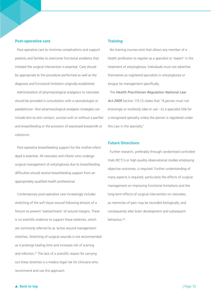#### **Post-operative care**

Post-operative care to minimise complications and support patients and families to overcome functional problems that initiated the surgical intervention is essential. Care should be appropriate to the procedure performed as well as the diagnosis and functional limitation originally established.

Administration of pharmacological analgesics to neonates should be provided in consultation with a neonatologist or paediatrician. Non-pharmacological analgesic strategies can include skin-to-skin contact, sucrose with or without a pacifier and breastfeeding or the provision of expressed breastmilk or colostrum.

Post-operative breastfeeding support for the mother-infant dyad is essential. All neonates and infants who undergo surgical management of ankyloglossia due to breastfeeding difficulties should receive breastfeeding support from an appropriately qualified health professional.

Contemporary post-operative care increasingly includes stretching of the soft tissue wound following division of a frenum to prevent 'reattachment' of wound margins. There is no scientific evidence to support these stretches, which are commonly referred to as 'active wound management' stretches. Stretching of surgical wounds is not recommended as it prolongs healing time and increases risk of scarring and infection.27 The lack of a scientific reason for carrying out these stretches is a medico-legal risk for clinicians who recommend and use this approach.

## **Training**

No training courses exist that allows any member of a health profession to register as a specialist or 'expert' in the treatment of ankyloglossia. Individuals must not advertise themselves as registered specialists in ankyloglossia or tongue tie management specifically.

The *Health Practitioner Regulation National Law Act 2009* Section 115 (1) states that "A person must not knowingly or recklessly take or use - (c) a specialist title for a recognised specialty unless the person is registered under this Law in the specialty."

#### **Future Directions**

Further research, preferably through randomised controlled trials (RCT)'s or high quality observational studies employing objective outcomes, is required. Further understanding of many aspects is required, particularly the effects of surgical management on improving functional limitations and the long-term effects of surgical intervention on neonates, as memories of pain may be recorded biologically, and consequently alter brain development and subsequent behaviour.28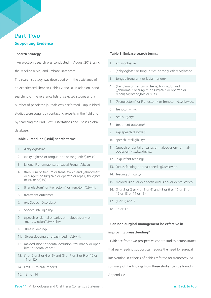# **Part Two Supporting Evidence**

#### **Search Strategy**

An electronic search was conducted in August 2019 using the Medline (Ovid) and Embase Databases.

The search strategy was developed with the assistance of an experienced librarian (Tables 2 and 3). In addition, hand searching of the reference lists of selected studies and a number of paediatric journals was performed. Unpublished studies were sought by contacting experts in the field and by searching the ProQuest Dissertations and Theses global database.

#### **Table 2: Medline (Ovid) search terms:**

- 1. Ankyloglossia/
- 2. (ankylogloss\* or tongue-tie\* or tonguetie\*).tw,kf.
- 3. Lingual Frenum/ab, su or Labial Frenum/ab, su
- 4. (frenulum or frenum or frena).tw,kf. and ((abnormal\* or surger\* or surgical\* or operat\* or repair).tw,kf,hw. or (su or ab).fs.)
- 5. (Frenulectom\* or Frenectom\* or frenotom\*).tw,kf.
- 6. treatment outcome/
- 7. exp Speech Disorders/
- 8. Speech Intelligibility/
- 9. (speech or dental or caries or malocclusion\* or mal-occlusion\*).tw,kf,hw.
- 10. Breast Feeding/
- 11. (breastfeeding or breast-feeding).tw,kf.
- 12. malocclusion/ or dental occlusion, traumatic/ or open bite/ or dental caries/
- 13. (1 or 2 or 3 or 4 or 5) and (6 or 7 or 8 or 9 or 10 or 11 or 12)
- 14. limit 13 to case reports
- 15. 13 not 14

## **Table 3: Embase search terms:**

- 1. ankyloglossia/
- 2. (ankylogloss\* or tongue-tie\* or tonguetie\*).tw,kw,dq.
- 3. tongue frenulum/ or labial frenum/
- 4. (frenulum or frenum or frena).tw,kw,dq. and ((abnormal\* or surger\* or surgical\* or operat\* or repair).tw,kw,dq,hw. or su.fs.)
- 5. (Frenulectom\* or Frenectom\* or frenotom\*).tw,kw,dq.
- 6. frenotomy.hw.
- 7. oral surgery/
- 8. treatment outcome/
- 9. exp speech disorder/
- 10. speech intelligibility/
- 11. (speech or dental or caries or malocclusion\* or malocclusion\*).tw,kw,dq,hw.
- 12. exp infant feeding/
- 13. (breastfeeding or breast-feeding).tw,kw,dq.
- 14. feeding difficulty/
- 15. malocclusion/ or exp tooth occlusion/ or dental caries/
- 16. (1 or 2 or 3 or 4 or 5 or 6) and (8 or 9 or 10 or 11 or 12 or 13 or 14 or 15)
- 17. (1 or 2) and 7
- 18. 16 or 17

#### **Can non-surgical management be effective in**

#### **improving breastfeeding?**

Evidence from two prospective cohort studies demonstrates

that early feeding support can reduce the need for surgical

intervention in cohorts of babies referred for frenotomy.19 A

summary of the findings from these studies can be found in

Appendix A.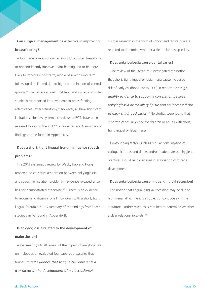# **Can surgical management be effective in improving breastfeeding?**

 A Cochrane review conducted in 2017 reported frenotomy to not consistently improve infant feeding and to be more likely to improve (short term) nipple pain with long term follow-up data limited due to high contamination of control groups.29 The review advised that few randomised controlled studies have reported improvements in breastfeeding effectiveness after frenotomy,<sup>29</sup> however, all have significant limitations. No new systematic reviews or RCTs have been released following the 2017 Cochrane review. A summary of findings can be found in Appendix A.

# **Does a short, tight lingual frenum influence speech problems?**

The 2013 systematic review by Webb, Hao and Hong reported no causative association between ankyloglossia and speech articulation problems.12 Evidence released since has not demonstrated otherwise.30,31 There is no evidence to recommend division for all individuals with a short, tight lingual frenum.30,32,33 A summary of the findings from these studies can be found in Appendix B.

## **Is ankyloglossia related to the development of**

#### **malocclusion?**

 A systematic (critical) review of the impact of ankyloglossia on malocclusion evaluated four case reports/series that found *limited evidence that tongue-tie represents a (co)-factor in the development of malocclusions.*<sup>20</sup>

Further research in the form of cohort and clinical trials is required to determine whether a clear relationship exists.

#### **Does ankyloglossia cause dental caries?**

One review of the literature<sup>34</sup> investigated the notion that short, tight lingual or labial frena cause increased risk of early childhood caries (ECC). It reported *no highquality evidence to support a correlation between ankyloglossia or maxillary lip-tie and an increased risk of early childhood caries.*34 No studies were found that reported caries incidence for children or adults with short, tight lingual or labial frena.

Confounding factors such as regular consumption of cariogenic foods and drinks and/or inadequate oral hygiene practices should be considered in association with caries development.

#### **Does ankyloglossia cause lingual gingival recession?**

The notion that lingual gingival recession may be due to high frenal attachment is a subject of controversy in the literature. Further research is required to determine whether a clear relationship exists.20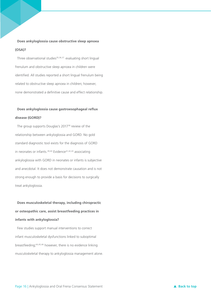## **Does ankyloglossia cause obstructive sleep apnoea (OSA)?**

Three observational studies<sup>35,36,37</sup> evaluating short lingual frenulum and obstructive sleep apnoea in children were identified. All studies reported a short lingual frenulum being related to obstructive sleep apnoea in children; however, none demonstrated a definitive cause and effect relationship.

## **Does ankyloglossia cause gastroesophageal reflux**

#### **disease (GORD)?**

The group supports Douglas's 2017<sup>38</sup> review of the relationship between ankyloglossia and GORD. No gold standard diagnostic tool exists for the diagnosis of GORD in neonates or infants.<sup>39,40</sup> Evidence<sup>41,42,43</sup> associating ankyloglossia with GORD in neonates or infants is subjective and anecdotal. It does not demonstrate causation and is not strong enough to provide a basis for decisions to surgically treat ankyloglossia.

# **Does musculoskeletal therapy, including chiropractic or osteopathic care, assist breastfeeding practices in infants with ankyloglossia?**

Few studies support manual interventions to correct infant musculoskeletal dysfunctions linked to suboptimal breastfeeding;44,45,46 however, there is no evidence linking musculoskeletal therapy to ankyloglossia management alone.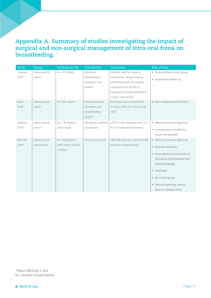# **Appendix A. Summary of studies investigating the impact of surgical and non-surgical management of intra-oral frena on breastfeeding.**

| Study               | Design                         | Participants (N)                                       | Intervention                                                 | Outcomes                                                                                                                                                                                 | <b>Risk of Bias</b>                                                                                                                                                                                                                            |
|---------------------|--------------------------------|--------------------------------------------------------|--------------------------------------------------------------|------------------------------------------------------------------------------------------------------------------------------------------------------------------------------------------|------------------------------------------------------------------------------------------------------------------------------------------------------------------------------------------------------------------------------------------------|
| Colaway<br>201914   | Observational,<br>cohort       | $N = 115$ infants                                      | Individual<br>breastfeeding<br>evaluation and<br>support     | Reduced need for surgical<br>intervention - Breast feeding<br>established with non-surgical<br>intervention for 62.6% of<br>participants initially referred for<br>surgical intervention | • Poorly defined control group<br>• Inconsistent follow-up                                                                                                                                                                                     |
| Dixon<br>201819     | Observational,<br>cohort       | $N = 367$ infants                                      | Community level<br>education and<br>breastfeeding<br>support | Frenotomy rate reduced from<br>11.3% in 2015 to 3.5% in mid-<br>2017                                                                                                                     | • Non-validated questionnaire                                                                                                                                                                                                                  |
| Schlatter<br>201911 | Observational,<br>cohort       | $N = 776$ mother-<br>infant dyads                      | Frenotomy; method<br>not advised                             | LATCH score improved from 6.9<br>to 9.5* following frenotomy                                                                                                                             | • Selective outcome reporting<br>• Control group included but<br>results not reported                                                                                                                                                          |
| Ramoser<br>201947   | Observational,<br>case control | $N = 329$ patients<br>(295 infants and 34<br>children) | Scissors frenotomy                                           | 106/126 short-term and 114/138<br>long-term improvements                                                                                                                                 | • Selective outcome reporting<br>• Potential recall bias<br>· Improvement outcomes do not<br>distinguish breastfeeding from<br>speech/language<br>· Unblinded<br>• No control group<br>• Parental reporting; cannot<br>discount placebo effect |

\*Mann-Whitney U test  $N =$  number of participants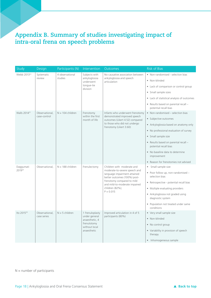# **Appendix B. Summary of studies investigating impact of intra-oral frena on speech problems**

| Study                    | Design                        | Participants (N)           | Intervention                                                                                      | Outcomes                                                                                                                                                                                                                     | <b>Risk of Bias</b>                                           |
|--------------------------|-------------------------------|----------------------------|---------------------------------------------------------------------------------------------------|------------------------------------------------------------------------------------------------------------------------------------------------------------------------------------------------------------------------------|---------------------------------------------------------------|
| Webb 2013 <sup>12</sup>  | Systematic                    | 4 observational<br>studies | Subjects with<br>ankyloglossia<br>underwent<br>tongue-tie<br>division                             | No causative association between<br>ankyloglossia and speech<br>articulation                                                                                                                                                 | • Non-randomised - selection bias                             |
|                          | review                        |                            |                                                                                                   |                                                                                                                                                                                                                              | · Non-blinded                                                 |
|                          |                               |                            |                                                                                                   |                                                                                                                                                                                                                              | • Lack of comparison or control group                         |
|                          |                               |                            |                                                                                                   |                                                                                                                                                                                                                              | • Small sample sizes                                          |
|                          |                               |                            |                                                                                                   |                                                                                                                                                                                                                              | • Lack of statistical analysis of outcomes                    |
|                          |                               |                            |                                                                                                   | • Results based on parental recall -<br>potential recall bias                                                                                                                                                                |                                                               |
| Walls 2014 <sup>31</sup> | Observational,                | $N = 104$ children         | Frenotomy<br>within the first<br>month of life                                                    | Infants who underwent frenotomy<br>demonstrated improved speech<br>outcomes (Likert 4.52) compared                                                                                                                           | • Non-randomised – selection bias                             |
|                          | case-control                  |                            |                                                                                                   |                                                                                                                                                                                                                              | • Subjective outcomes                                         |
|                          |                               |                            |                                                                                                   | to those who did not undergo<br>frenotomy (Likert 3.60)                                                                                                                                                                      | • Ankyloglossia based on anatomy only                         |
|                          |                               |                            |                                                                                                   |                                                                                                                                                                                                                              | • No professional evaluation of survey                        |
|                          |                               |                            |                                                                                                   |                                                                                                                                                                                                                              | • Small sample size                                           |
|                          |                               |                            |                                                                                                   |                                                                                                                                                                                                                              | • Results based on parental recall -<br>potential recall bias |
|                          |                               |                            |                                                                                                   | • No baseline data to determine<br>improvement                                                                                                                                                                               |                                                               |
|                          |                               |                            |                                                                                                   |                                                                                                                                                                                                                              | • Reason for frenotomies not advised                          |
| Daggumati                | Observational,                | $N = 188$ children         | Frenulectomy                                                                                      | Children with moderate and<br>moderate-to-severe speech and<br>language impairment attained<br>better outcomes (100%) post-<br>frenotomy compared to mild<br>and mild-to-moderate impaired<br>children (82%);<br>$P = 0.015$ | • Small sample size                                           |
| 201932                   |                               |                            |                                                                                                   |                                                                                                                                                                                                                              | • Poor follow up, non-randomised -<br>selection bias          |
|                          |                               |                            |                                                                                                   |                                                                                                                                                                                                                              | • Retrospective - potential recall bias                       |
|                          |                               |                            |                                                                                                   |                                                                                                                                                                                                                              | • Multiple evaluating providers                               |
|                          |                               |                            |                                                                                                   |                                                                                                                                                                                                                              | • Ankyloglossia not graded using<br>diagnostic system         |
|                          |                               |                            |                                                                                                   | • Population not treated under same<br>conditions                                                                                                                                                                            |                                                               |
| Ito 2015 <sup>33</sup>   | Observational,<br>case series | $N = 5$ children           | 1 frenuloplasty<br>under general<br>anaesthetic, 4<br>frenulotomy<br>without local<br>anaesthetic | Improved articulation in 4 of 5<br>participants (80%)                                                                                                                                                                        | • Very small sample size                                      |
|                          |                               |                            |                                                                                                   |                                                                                                                                                                                                                              | · Non-blinded                                                 |
|                          |                               |                            |                                                                                                   |                                                                                                                                                                                                                              | • No control group                                            |
|                          |                               |                            |                                                                                                   |                                                                                                                                                                                                                              | • Variability in provision of speech<br>therapy               |
|                          |                               |                            |                                                                                                   |                                                                                                                                                                                                                              | • Inhomogeneous sample                                        |

 $N =$  number of participants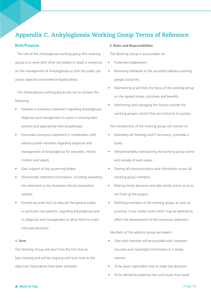# **Appendix C. Ankyloglossia Working Group Terms of Reference**

#### **Role/Purpose**

The role of the Ankyloglossia working group (the working group) is to work with other key bodies to reach a consensus on the management of Ankyloglossia so that the public can access objective and evidence-based advice.

The Ankyloglossia working group sets out to achieve the following:

- Develop a consensus statement regarding ankyloglossia diagnosis and management to assist in ensuring best practice and appropriate referral pathways.
- Formulate consensus statement in combination with advisory panel members regarding diagnosis and management of Ankyloglossia for neonates, infants, children and adults.
- Gain support of key governing bodies.
- Disseminate statement information, including uploading the statement to the Australian Dental Association website.
- Provide accurate facts to educate the general public, in particular new parents, regarding ankyloglossia and its diagnosis and management to allow them to make informed decisions.

#### **1. Term**

The Working Group will exist from the first face-toface meeting and will be ongoing until such time as the objectives listed above have been achieved.

#### **2. Roles and Responsibilities**

The Working Group is accountable for:

- Fostering collaboration.
- Removing obstacles to the successful delivery working groups outcomes.
- Maintaining at all times the focus of the working group on the agreed scope, outcomes and benefits.
- Monitoring and managing the factors outside the working group's control that are critical to its success.

The membership of the working group will commit to:

- Attending all meetings and if necessary, nominate a proxy.
- Wholeheartedly championing the working group within and outside of work areas.
- Sharing all communications and information across all working group members.
- Making timely decisions and take timely action so as to not hold up the project.
- Notifying members of the working group, as soon as practical, if any matter arises which may be deemed to affect the development of the consensus statement.

Members of the advisory group will expect:

- That each member will be provided with complete, accurate and meaningful information in a timely manner.
- To be given reasonable time to make key decisions.
- To be alerted to potential risks and issues that could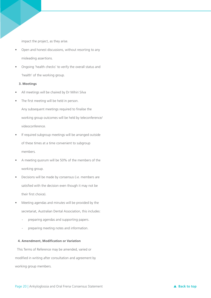impact the project, as they arise.

- Open and honest discussions, without resorting to any misleading assertions.
- Ongoing 'health checks' to verify the overall status and 'health' of the working group.

### **3. Meetings**

- All meetings will be chaired by Dr Mihiri Silva
- The first meeting will be held in person.

Any subsequent meetings required to finalise the working group outcomes will be held by teleconference/ videoconference.

- If required subgroup meetings will be arranged outside of these times at a time convenient to subgroup members.
- A meeting quorum will be 50% of the members of the working group.
- Decisions will be made by consensus (i.e. members are satisfied with the decision even though it may not be their first choice).
- Meeting agendas and minutes will be provided by the secretariat, Australian Dental Association, this includes:
	- preparing agendas and supporting papers.
	- preparing meeting notes and information.

## **4. Amendment, Modification or Variation**

This Terms of Reference may be amended, varied or modified in writing after consultation and agreement by working group members.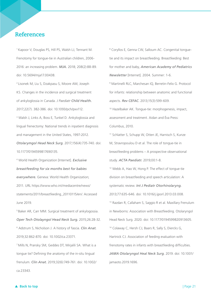# **References**

1 Kapoor V, Douglas PS, Hill PS, Walsh LJ, Tennant M. Frenotomy for tongue-tie in Australian children, 2006- 2016: an increasing problem. *MJA.* 2018; 208(2):88-89. doi: 10.5694/mja17.00438.

2 Lisonek M, Liu S, Dzakpasu S, Moore AM, Joseph KS. Changes in the incidence and surgical treatment of ankyloglossia in Canada. *J Paediatr Child Health.*  2017;22(7). 382-386. doi: 10.1093/pch/pxx112. <sup>3</sup> Walsh J, Links A, Boss E, Tunkel D. Ankyloglossia and lingual frenectomy: National trends in inpatient diagnosis and management in the United States, 1997-2012. *Otolarymgol Head Neck Surg.* 2017;156(4):735-740. doi: 10.1177/0194599817690135.

4 World Health Organization [Internet]. *Exclusive breastfeeding for six months best for babies everywhere.* Geneva: World Health Organization; 2011. URL https://www.who.int/mediacentre/news/ statements/2011/breastfeeding\_20110115/en/. Accessed June 2019.

5 Baker AR, Carr MM. Surgical treatment of ankylogossia. *Oper Tech Otolayngol Head Neck Surg.* 2015;26:28-32. 6 Adstrum S, Nicholson J. A history of fascia. *Clin Anat.* 2019;32:862-870. doi: 10.1002/ca.23371.

7 Mills N, Pransky SM, Geddes DT, Mirjalili SA. What is a tongue tie? Defining the anatomy of the in-situ lingual frenulum. *Clin Anat.* 2019;32(6):749-761. doi: 10.1002/ ca.23343.

<sup>8</sup> Coryllos E, Genna CW, Salloum AC. Congenital tonguetie and its impact on breastfeeding. Breastfeeding: Best for mother and baby, *American Academy of Pediatrics Newsletter* [Internet]. 2004. Summer: 1-6. 9 Martinelli RLC, Marchesan IQ, Berretin-Felix G. Protocol for infants: relationship between anatomic and functional aspects. *Rev CEFAC.* 2013;15(3):599-609. 10 Hazelbaker AK. Tongue-tie: morphogenesis, impact, assessment and treatment. Aidan and Éva Press: Columbus, 2010. <sup>11</sup> Schlatter S, Schupp W, Otten JE, Harnisch S, Kunze

M, Stravropoulou D et al. The role of tongue-tie in breastfeeding problems – A prospective observational study. *ACTA Paediatr.* 2019;00:1-8.

12 Webb A, Hao W, Hong P. The effect of tongue-tie division on breastfeeding and speech articulation: A systematic review. *Int J Pediatr Otorhinolaryng.* 2013;77:635-646. doi: 10.1016/j.ijporl.2013.03.008. 13 Razdan R, Callaham S, Saggio R et al. Maxillary Frenulum in Newborns: Association with Breastfeeding. Otolaryngol Head Neck Surg. 2020. doi: 10.1177/0194599820913605. <sup>14</sup> Colaway C, Hersh CJ, Baars R, Sally S, Diercks G, Hartnick CJ. Association of feeding evaluation with frenotomy rates in infants with breastfeeding difficulties. *JAMA Otolaryngol Heal Neck Surg.* 2019. doi: 10.1001/ jamaoto.2019.1696.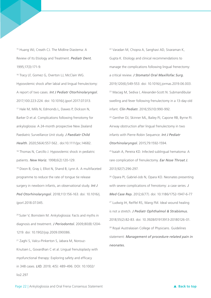15 Huang WJ, Creath CJ. The Midline Diastema: A Review of Its Etiology and Treatment. *Pediatr Dent.* 1995;17(3):171-9.

<sup>16</sup> Tracy LF, Gomez G, Overton LJ, McClain WG. Hypovolemic shock after labial and lingual frenulectomy: A report of two cases. *Int J Pediatr Otorhinolaryngol.*  2017;100:223-224. doi: 10.1016/j.ijporl.2017.07.013. 17 Hale M, Mills N, Edmonds L, Dawes P, Dickson N, Barker D et al. Complications following frenotomy for ankyloglossia: A 24-month prospective New Zealand Paediatric Surveillance Unit study. *J Paediatr Child Health*. 2020;56(4):557-562.. doi:10.1111/jpc.14682. <sup>18</sup> Thomas N, Carcillo J. Hypovolemic shock in pediatric patients. *New Horiz.* 1998;6(2):120-129. 19 Dixon B, Gray J, Elliot N, Shand B, Lynn A. A multifaceted programme to reduce the rate of tongue tie release surgery in newborn infants, an observational study. *Int J* 

*Ped Otorhinolaryngol.* 2018;113:156-163. doi: 10.1016/j. ijporl.2018.07.045.

20 Suter V, Bornstein M. Ankyloglossia: Facts and myths in diagnosis and treatment. *J Periodontol.* 2009;80(8):1204- 1219. doi: 10.1902/jop.2009.090086.

21 Zaghi S, Valcu-Pinkerton S, Jabara M, Norouz-Knutsen L, Govardhan C et al. Lingual frenuloplasty with myofunctional therapy: Exploring safety and efficacy in 348 cases. *LIO.* 2019; 4(5): 489-496. DOI: 10.1002/ lio2.297

22 Varadan M, Chopra A, Sanghavi AD, Sivaraman K, Gupta K. Etiology and clinical recommendations to manage the complications following lingual frenectomy: a critical review. *J Stomatol Oral Maxillofac Surg.*  2019;120(6);549-553. doi: 10.1016/j.jormas.2019.06.003. 23 Maciag M, Sediva I, Alexander-Scott N. Submandibular swelling and fever following frenulectomy in a 13-day-old infant. *Clin Pediatr.* 2016;55(10):990-992.

24 Genther DJ, Skinner ML, Bailey PJ, Capone RB, Byrne PJ. Airway obstruction after lingual frenulectomy in two infants with Pierre-Robin Sequence. *Int J Pediatr Otorhinolaryngol.* 2015;79:1592-1594.

25 Isaiah A, Pereira KD. Infected sublingual hematoma: A rare complication of frenulectomy. *Ear Nose Throat J.*  2013;92(7):296-297.

26 Opara PI, Gabriel-Job N, Opara KO. Neonates presenting with severe complications of frenotomy: a case series. *J Med Case Rep.* 2012;6(77). doi: 10.1186/1752-1947-6-77 27 Ludwig IH, Reiffel RS, Wang FM. Ideal wound healing is not a stretch. *J Pediatr Ophthalmol & Strabismus.*  2018;55(2):82-83. doi: 10.3928/01913913-20180126-01. 28 Royal Australasian College of Physicians. Guidelines statement: *Management of procedure-related pain in neonates.*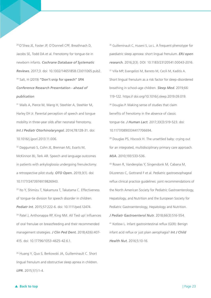29 O'Shea JE, Foster JP, O'Donnell CPF, Breathnach D, Jacobs SE, Todd DA et al. Frenotomy for tongue-tie in newborn infants. *Cochrane Database of Systematic Reviews.* 2017;3. doi: 10.1002/14651858.CD011065.pub2. 30 Salt, H (2019) "Don't snip for speech" *SPA Conference Research Presentation - ahead of publication*

31 Walls A, Pierce M, Wang H, Steehler A, Steehler M, Harley EH Jr. Parental perception of speech and tongue mobility in three-year olds after neonatal frenotomy. *Int J Pediatr Otorhinolaryngol.* 2014;78:128-31. doi: 10.1016/j.ijporl.2013.11.006.

32 Daggumati S, Cohn JE, Brennan MJ, Evarts M, McKinnon BJ, Terk AR. Speech and language outcomes in patients with ankyloglossia undergoing frenulectomy: a retrospective pilot study. *OTO Open.* 2019;3(1). doi: 10.1177/2473974X19826943.

33 Ito Y, Shimizu T, Nakamura T, Takatama C. Effectiveness of tongue-tie division for speech disorder in children. *Pediatr Int.* 2015;57:222-6. doi: 10.1111/ped.12474. <sup>34</sup> Patel J, Anthonappa RP, King NM, All Tied up! Influences of oral frenulae on breastfeeding and their recommended management strategies. *J Clin Ped Dent.* 2018;42(6):407- 415. doi: 10.17796/1053-4625-42.6.1.

35 Huang Y, Quo S, Berkowski JA, Guilleminault C. Short lingual frenulum and obstructive sleep apnea in children. *IJPR.* 2015;1(1):1-4.

<sup>36</sup> Guilleminault C, Huseni S, Lo L. A frequent phenotype for paediatric sleep apnoea: short lingual frenulum. *ERJ open research.* 2016;2(3). DOI: 10.1183/23120541.00043-2016. <sup>37</sup> Villa MP, Evangelisti M, Barreto M, Cecili M, Kaditis A. Short lingual frenulum as a risk factor for sleep-disordered breathing in school-age children. *Sleep Med.* 2019;66: 119-122. https:// doi.org/10.1016/j.sleep.2019.09.019. 38 Douglas P. Making sense of studies that claim benefits of frenotomy in the absence of classic tongue-tie. *J Human Lact.* 2017;33(3):519-523. doi: 10.1177/0890334417706694.

39 Douglas PS, Hiscock H. The unsettled baby: crying out for an integrated, multidisciplinary primary care approach. *MJA.* 2010;193:533-536.

<sup>40</sup> Rosen R, Vandenplas Y, Singendonk M, Cabana M, DiLorenzo C, Gottrand F et al. Pediatric gastroesophageal reflux clinical practice guidelines: joint recommendations of the North American Society for Pediatric Gastroenterology, Hepatology, and Nutrition and the European Society for Pediatric Gastroenterology, Hepatology and Nutrition. *J Pediatr Gastroenterol Nutr.* 2018;66(3):516-554.

41 Kotlow L. Infant gastrointestinal reflux (GER): Benign infant acid reflux or just plain aerophagia? *Int J Child Health Nut.* 2016;5:10-16.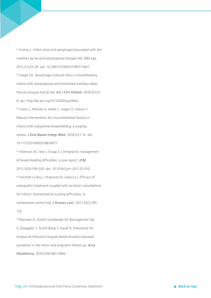<sup>42</sup> Kotlow L. Infant relux and aerophagia associated with the maxillary lip-tie and ankyloglossia (tongue-tie). *Clin Lac.* 2011;2-4;25-29. doi: 10.1891/21580531180711467. 43 Siegel SA. Aerophagia induced reflux in breastfeeding infants with ankyloglossia and shortened maxillary labial frenula (tongue and lip tie). *Int J Clin Pediatr.* 2016;5(1):6- 8. doi: http://dx.doi.org/10.14740/ijcp246w. 44 Hawk C, Minkalis A, Webb C, Hogan O, Vallone S. Manual interventions for musculoskeletal factors in infants with suboptimal breastfeeding: a scoping review. *J Evid Based Integr Med.* 2018;23:1-12. doi: 10.1177/2515690X18816971.

<sup>45</sup> Holleman AC, Nee J, Knaap S. Chiropractic management of breast-feeding difficulties: a case report. *JCM*. 2011;10(3):199-203. doi: 10.1016/j.jcm.2011.01.010. 46 Herzhaft-Le Roy J, Xhignesse M, Gaboury I**.** Efficacy of osteopathic treatment coupled with lactation consultations for infants' biomechanical sucking difficulties: A randomized control trial. *J Human Lact.* 2017;33(1):165- 172.

47 Ramoser G, Guóth-Gumberger M, Baumgartner-Sigl S, Zoeggeler T, Scholl-Bürgi S, Karall D. Frenotomy for tongue-tie (frenulum linguae breve) showed improved symptoms in the short- and long-term follow-up. *Acta Paediatrica.* 2019;108:1861-1866.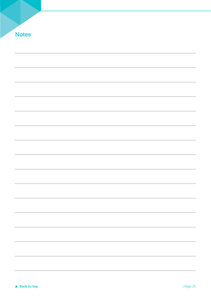| <b>Notes</b> |  |  |  |
|--------------|--|--|--|
|              |  |  |  |
|              |  |  |  |
|              |  |  |  |
|              |  |  |  |
|              |  |  |  |
|              |  |  |  |
|              |  |  |  |
|              |  |  |  |
|              |  |  |  |
|              |  |  |  |
|              |  |  |  |
|              |  |  |  |
|              |  |  |  |
|              |  |  |  |
|              |  |  |  |
|              |  |  |  |
|              |  |  |  |
|              |  |  |  |
|              |  |  |  |
|              |  |  |  |
|              |  |  |  |
|              |  |  |  |